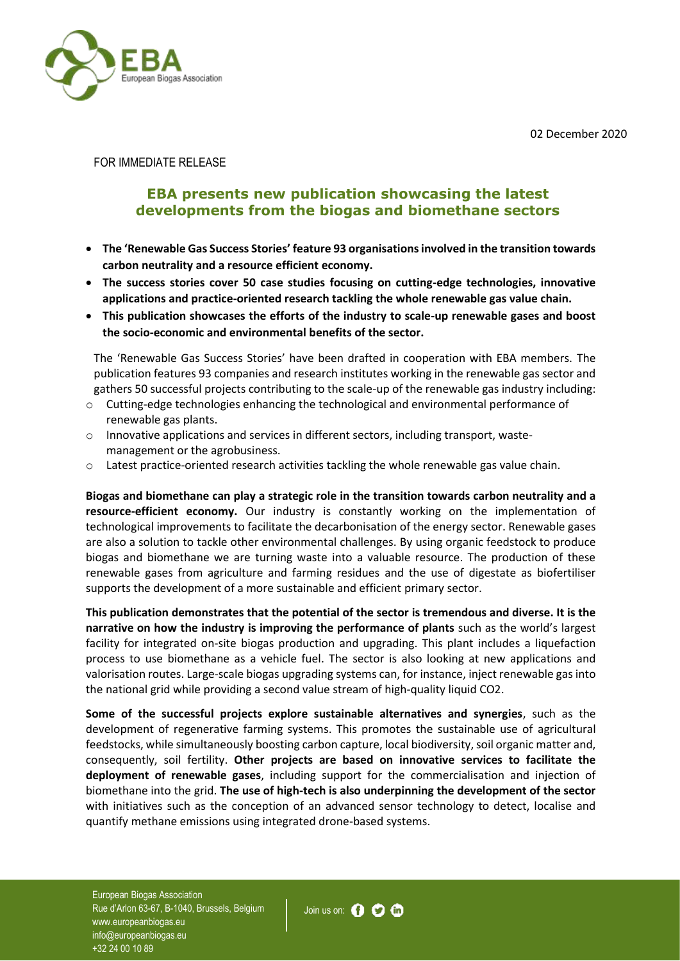02 December 2020



FOR IMMEDIATE RELEASE

## **EBA presents new publication showcasing the latest developments from the biogas and biomethane sectors**

- **The 'Renewable Gas Success Stories' feature 93 organisations involved in the transition towards carbon neutrality and a resource efficient economy.**
- **The success stories cover 50 case studies focusing on cutting-edge technologies, innovative applications and practice-oriented research tackling the whole renewable gas value chain.**
- **This publication showcases the efforts of the industry to scale-up renewable gases and boost the socio-economic and environmental benefits of the sector.**

The 'Renewable Gas Success Stories' have been drafted in cooperation with EBA members. The publication features 93 companies and research institutes working in the renewable gas sector and gathers 50 successful projects contributing to the scale-up of the renewable gas industry including:

- o Cutting-edge technologies enhancing the technological and environmental performance of renewable gas plants.
- $\circ$  Innovative applications and services in different sectors, including transport, wastemanagement or the agrobusiness.
- o Latest practice-oriented research activities tackling the whole renewable gas value chain.

**Biogas and biomethane can play a strategic role in the transition towards carbon neutrality and a resource-efficient economy.** Our industry is constantly working on the implementation of technological improvements to facilitate the decarbonisation of the energy sector. Renewable gases are also a solution to tackle other environmental challenges. By using organic feedstock to produce biogas and biomethane we are turning waste into a valuable resource. The production of these renewable gases from agriculture and farming residues and the use of digestate as biofertiliser supports the development of a more sustainable and efficient primary sector.

**This publication demonstrates that the potential of the sector is tremendous and diverse. It is the narrative on how the industry is improving the performance of plants** such as the world's largest facility for integrated on-site biogas production and upgrading. This plant includes a liquefaction process to use biomethane as a vehicle fuel. The sector is also looking at new applications and valorisation routes. Large-scale biogas upgrading systems can, for instance, inject renewable gas into the national grid while providing a second value stream of high-quality liquid CO2.

**Some of the successful projects explore sustainable alternatives and synergies**, such as the development of regenerative farming systems. This promotes the sustainable use of agricultural feedstocks, while simultaneously boosting carbon capture, local biodiversity, soil organic matter and, consequently, soil fertility. **Other projects are based on innovative services to facilitate the deployment of renewable gases**, including support for the commercialisation and injection of biomethane into the grid. **The use of high-tech is also underpinning the development of the sector** with initiatives such as the conception of an advanced sensor technology to detect, localise and quantify methane emissions using integrated drone-based systems.

European Biogas Association Rue d'Arlon 63-67, B-1040, Brussels, Belgium www.europeanbiogas.eu info@europeanbiogas.eu +32 24 00 10 89

Join us on: **O O**